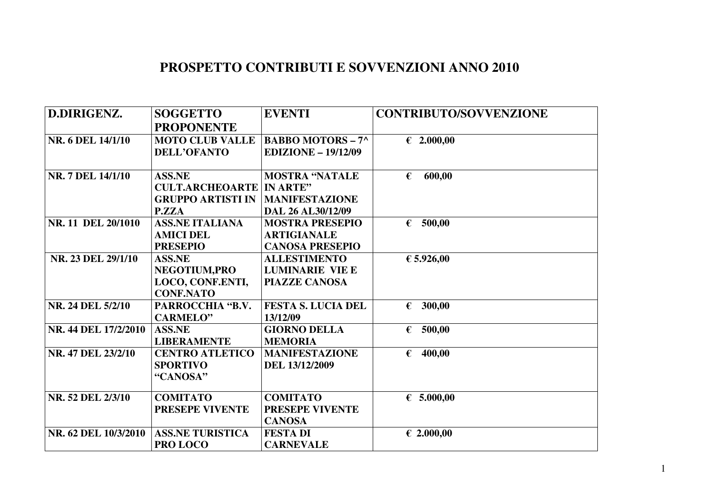## **PROSPETTO CONTRIBUTI E SOVVENZIONI ANNO 2010**

| D.DIRIGENZ.          | <b>SOGGETTO</b>          | <b>EVENTI</b>              | <b>CONTRIBUTO/SOVVENZIONE</b> |
|----------------------|--------------------------|----------------------------|-------------------------------|
|                      | <b>PROPONENTE</b>        |                            |                               |
| NR. 6 DEL 14/1/10    | <b>MOTO CLUB VALLE</b>   | <b>BABBO MOTORS - 7^</b>   | € 2.000,00                    |
|                      | <b>DELL'OFANTO</b>       | <b>EDIZIONE - 19/12/09</b> |                               |
|                      |                          |                            |                               |
| NR. 7 DEL 14/1/10    | <b>ASS.NE</b>            | <b>MOSTRA "NATALE</b>      | 600,00<br>€                   |
|                      | <b>CULT.ARCHEOARTE</b>   | <b>IN ARTE"</b>            |                               |
|                      | <b>GRUPPO ARTISTI IN</b> | <b>MANIFESTAZIONE</b>      |                               |
|                      | P.ZZA                    | DAL 26 AL30/12/09          |                               |
| NR. 11 DEL 20/1010   | <b>ASS.NE ITALIANA</b>   | <b>MOSTRA PRESEPIO</b>     | € 500,00                      |
|                      | <b>AMICI DEL</b>         | <b>ARTIGIANALE</b>         |                               |
|                      | <b>PRESEPIO</b>          | <b>CANOSA PRESEPIO</b>     |                               |
| NR. 23 DEL 29/1/10   | <b>ASS.NE</b>            | <b>ALLESTIMENTO</b>        | € 5.926,00                    |
|                      | NEGOTIUM, PRO            | <b>LUMINARIE VIE E</b>     |                               |
|                      | LOCO, CONF.ENTI,         | <b>PIAZZE CANOSA</b>       |                               |
|                      | <b>CONF.NATO</b>         |                            |                               |
| NR. 24 DEL 5/2/10    | PARROCCHIA "B.V.         | <b>FESTA S. LUCIA DEL</b>  | € 300,00                      |
|                      | <b>CARMELO"</b>          | 13/12/09                   |                               |
| NR. 44 DEL 17/2/2010 | <b>ASS.NE</b>            | <b>GIORNO DELLA</b>        | 500,00<br>€                   |
|                      | <b>LIBERAMENTE</b>       | <b>MEMORIA</b>             |                               |
| NR. 47 DEL 23/2/10   | <b>CENTRO ATLETICO</b>   | <b>MANIFESTAZIONE</b>      | 400,00<br>€                   |
|                      | <b>SPORTIVO</b>          | DEL 13/12/2009             |                               |
|                      | "CANOSA"                 |                            |                               |
| NR. 52 DEL 2/3/10    | <b>COMITATO</b>          | <b>COMITATO</b>            | € 5.000,00                    |
|                      | <b>PRESEPE VIVENTE</b>   | PRESEPE VIVENTE            |                               |
|                      |                          | <b>CANOSA</b>              |                               |
| NR. 62 DEL 10/3/2010 | <b>ASS.NE TURISTICA</b>  | <b>FESTA DI</b>            | € 2.000,00                    |
|                      |                          |                            |                               |
|                      | PRO LOCO                 | <b>CARNEVALE</b>           |                               |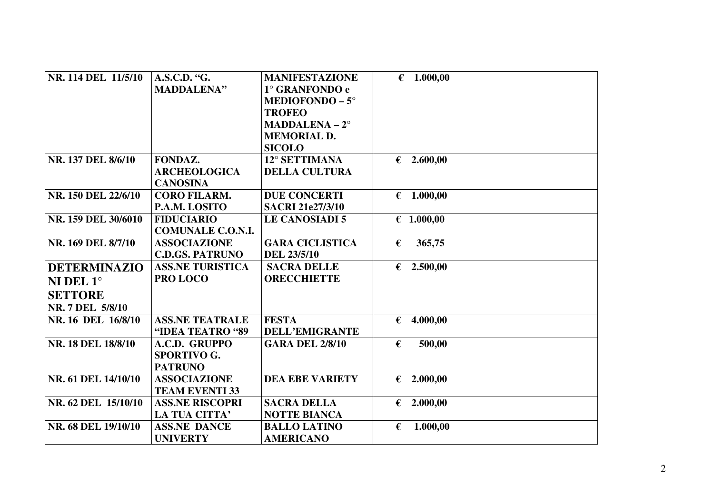| NR. 114 DEL 11/5/10 | A.S.C.D. "G.             | <b>MANIFESTAZIONE</b>   |            | € 1.000,00          |
|---------------------|--------------------------|-------------------------|------------|---------------------|
|                     | <b>MADDALENA"</b>        | 1° GRANFONDO e          |            |                     |
|                     |                          | <b>MEDIOFONDO – 5°</b>  |            |                     |
|                     |                          | <b>TROFEO</b>           |            |                     |
|                     |                          | $MADDALENA - 2°$        |            |                     |
|                     |                          | <b>MEMORIAL D.</b>      |            |                     |
|                     |                          | <b>SICOLO</b>           |            |                     |
| NR. 137 DEL 8/6/10  | FONDAZ.                  | 12° SETTIMANA           |            | $\epsilon$ 2.600,00 |
|                     | <b>ARCHEOLOGICA</b>      | <b>DELLA CULTURA</b>    |            |                     |
|                     | <b>CANOSINA</b>          |                         |            |                     |
| NR. 150 DEL 22/6/10 | <b>CORO FILARM.</b>      | <b>DUE CONCERTI</b>     |            | € 1.000,00          |
|                     | P.A.M. LOSITO            | <b>SACRI 21e27/3/10</b> |            |                     |
| NR. 159 DEL 30/6010 | <b>FIDUCIARIO</b>        | <b>LE CANOSIADI 5</b>   |            | € 1.000,00          |
|                     | <b>COMUNALE C.O.N.I.</b> |                         |            |                     |
| NR. 169 DEL 8/7/10  | <b>ASSOCIAZIONE</b>      | <b>GARA CICLISTICA</b>  | €          | 365,75              |
|                     | <b>C.D.GS. PATRUNO</b>   | <b>DEL 23/5/10</b>      |            |                     |
| <b>DETERMINAZIO</b> | <b>ASS.NE TURISTICA</b>  | <b>SACRA DELLE</b>      |            | $\epsilon$ 2.500,00 |
| NI DEL $1^\circ$    | PRO LOCO                 | <b>ORECCHIETTE</b>      |            |                     |
| <b>SETTORE</b>      |                          |                         |            |                     |
| NR. 7 DEL 5/8/10    |                          |                         |            |                     |
| NR. 16 DEL 16/8/10  | <b>ASS.NE TEATRALE</b>   | <b>FESTA</b>            | $\epsilon$ | 4.000,00            |
|                     | "IDEA TEATRO "89         | <b>DELL'EMIGRANTE</b>   |            |                     |
| NR. 18 DEL 18/8/10  | A.C.D. GRUPPO            | <b>GARA DEL 2/8/10</b>  | €          | 500,00              |
|                     | <b>SPORTIVO G.</b>       |                         |            |                     |
|                     | <b>PATRUNO</b>           |                         |            |                     |
| NR. 61 DEL 14/10/10 | <b>ASSOCIAZIONE</b>      | <b>DEA EBE VARIETY</b>  |            | € 2.000,00          |
|                     | <b>TEAM EVENTI 33</b>    |                         |            |                     |
| NR. 62 DEL 15/10/10 | <b>ASS.NE RISCOPRI</b>   | <b>SACRA DELLA</b>      |            | € 2.000,00          |
|                     | LA TUA CITTA'            | <b>NOTTE BIANCA</b>     |            |                     |
| NR. 68 DEL 19/10/10 | <b>ASS.NE DANCE</b>      | <b>BALLO LATINO</b>     | €          | 1.000,00            |
|                     | <b>UNIVERTY</b>          | <b>AMERICANO</b>        |            |                     |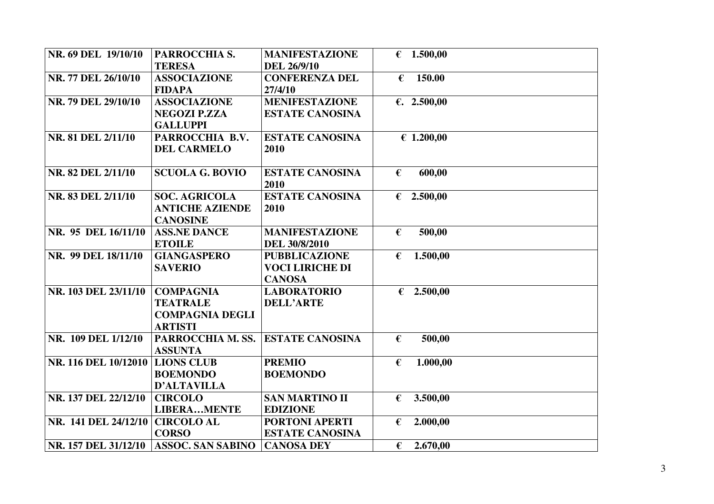| NR. 69 DEL 19/10/10  | PARROCCHIA S.            | <b>MANIFESTAZIONE</b>  |            | € 1.500,00          |  |
|----------------------|--------------------------|------------------------|------------|---------------------|--|
|                      | <b>TERESA</b>            | <b>DEL 26/9/10</b>     |            |                     |  |
| NR. 77 DEL 26/10/10  | <b>ASSOCIAZIONE</b>      | <b>CONFERENZA DEL</b>  | €          | 150.00              |  |
|                      | <b>FIDAPA</b>            | 27/4/10                |            |                     |  |
| NR. 79 DEL 29/10/10  | <b>ASSOCIAZIONE</b>      | <b>MENIFESTAZIONE</b>  |            | €. 2.500,00         |  |
|                      | <b>NEGOZI P.ZZA</b>      | <b>ESTATE CANOSINA</b> |            |                     |  |
|                      | <b>GALLUPPI</b>          |                        |            |                     |  |
| NR. 81 DEL 2/11/10   | PARROCCHIA B.V.          | <b>ESTATE CANOSINA</b> |            | € 1.200,00          |  |
|                      | <b>DEL CARMELO</b>       | 2010                   |            |                     |  |
|                      |                          |                        |            |                     |  |
| NR. 82 DEL 2/11/10   | <b>SCUOLA G. BOVIO</b>   | <b>ESTATE CANOSINA</b> | €          | 600,00              |  |
|                      |                          | 2010                   |            |                     |  |
| NR. 83 DEL 2/11/10   | <b>SOC. AGRICOLA</b>     | <b>ESTATE CANOSINA</b> |            | $\epsilon$ 2.500,00 |  |
|                      | <b>ANTICHE AZIENDE</b>   | 2010                   |            |                     |  |
|                      | <b>CANOSINE</b>          |                        |            |                     |  |
| NR. 95 DEL 16/11/10  | <b>ASS.NE DANCE</b>      | <b>MANIFESTAZIONE</b>  | €          | 500,00              |  |
|                      | <b>ETOILE</b>            | DEL 30/8/2010          |            |                     |  |
| NR. 99 DEL 18/11/10  | <b>GIANGASPERO</b>       | <b>PUBBLICAZIONE</b>   | €          | 1.500,00            |  |
|                      | <b>SAVERIO</b>           | <b>VOCI LIRICHE DI</b> |            |                     |  |
|                      |                          | <b>CANOSA</b>          |            |                     |  |
| NR. 103 DEL 23/11/10 | <b>COMPAGNIA</b>         | <b>LABORATORIO</b>     |            | $\epsilon$ 2.500,00 |  |
|                      | <b>TEATRALE</b>          | <b>DELL'ARTE</b>       |            |                     |  |
|                      | <b>COMPAGNIA DEGLI</b>   |                        |            |                     |  |
|                      | <b>ARTISTI</b>           |                        |            |                     |  |
| NR. 109 DEL 1/12/10  | PARROCCHIA M. SS.        | <b>ESTATE CANOSINA</b> | $\epsilon$ | 500,00              |  |
|                      | <b>ASSUNTA</b>           |                        |            |                     |  |
| NR. 116 DEL 10/12010 | <b>LIONS CLUB</b>        | <b>PREMIO</b>          | €          | 1.000,00            |  |
|                      | <b>BOEMONDO</b>          | <b>BOEMONDO</b>        |            |                     |  |
|                      | <b>D'ALTAVILLA</b>       |                        |            |                     |  |
| NR. 137 DEL 22/12/10 | <b>CIRCOLO</b>           | <b>SAN MARTINO II</b>  | €          | 3.500,00            |  |
|                      | <b>LIBERAMENTE</b>       | <b>EDIZIONE</b>        |            |                     |  |
| NR. 141 DEL 24/12/10 | <b>CIRCOLO AL</b>        | PORTONI APERTI         | €          | 2.000,00            |  |
|                      | <b>CORSO</b>             | <b>ESTATE CANOSINA</b> |            |                     |  |
| NR. 157 DEL 31/12/10 | <b>ASSOC. SAN SABINO</b> | <b>CANOSA DEY</b>      | €          | 2.670,00            |  |